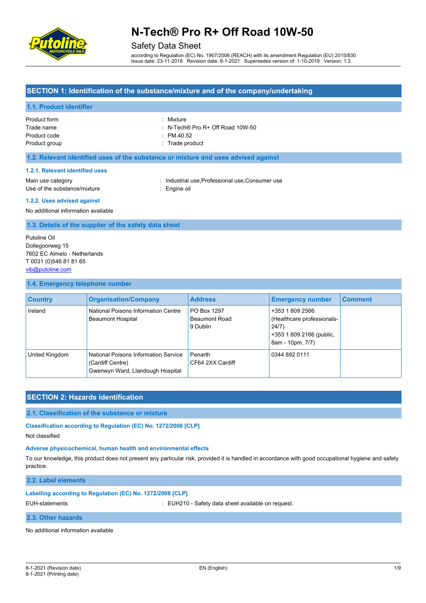

# Safety Data Sheet

according to Regulation (EC) No. 1907/2006 (REACH) with its amendment Regulation (EU) 2015/830 Issue date: 23-11-2018 Revision date: 8-1-2021 Supersedes version of: 1-10-2019 Version: 1.3

### **SECTION 1: Identification of the substance/mixture and of the company/undertaking**

#### **1.1. Product identifier**

| Product form  | : Mixture                                   |
|---------------|---------------------------------------------|
| Trade name    | $\therefore$ N-Tech® Pro R+ Off Road 10W-50 |
| Product code  | $\cdot$ PM 40.52                            |
| Product group | : Trade product                             |

#### **1.2. Relevant identified uses of the substance or mixture and uses advised against**

#### **1.2.1. Relevant identified uses**

Use of the substance/mixture : Engine oil

Main use category **industrial use, Professional use, Consumer use** in the use of the use of the use of the use of the use of the use of the use of the use of the use of the use of the use of the use of the use of the use o

#### **1.2.2. Uses advised against**

No additional information available

#### **1.3. Details of the supplier of the safety data sheet**

Putoline Oil Dollegoorweg 15 7602 EC Almelo - Netherlands T 0031 (0)546 81 81 65 [vib@putoline.com](mailto:vib@putoline.com)

#### **1.4. Emergency telephone number**

| <b>Country</b> | <b>Organisation/Company</b>                                                                  | <b>Address</b>                                  | <b>Emergency number</b>                                                                                | <b>Comment</b> |
|----------------|----------------------------------------------------------------------------------------------|-------------------------------------------------|--------------------------------------------------------------------------------------------------------|----------------|
| Ireland        | National Poisons Information Centre<br><b>Beaumont Hospital</b>                              | PO Box 1297<br><b>Beaumont Road</b><br>9 Dublin | +353 1 809 2566<br>(Healthcare professionals-<br>24/7)<br>+353 1 809 2166 (public,<br>8am - 10pm, 7/7) |                |
| United Kingdom | National Poisons Information Service<br>(Cardiff Centre)<br>Gwenwyn Ward, Llandough Hospital | Penarth<br>CF64 2XX Cardiff                     | 0344 892 0111                                                                                          |                |

### **SECTION 2: Hazards identification**

**2.1. Classification of the substance or mixture**

**Classification according to Regulation (EC) No. 1272/2008 [CLP]**

Not classified

#### **Adverse physicochemical, human health and environmental effects**

To our knowledge, this product does not present any particular risk, provided it is handled in accordance with good occupational hygiene and safety practice.

#### **2.2. Label elements**

#### **Labelling according to Regulation (EC) No. 1272/2008 [CLP]**

EUH-statements : EUH210 - Safety data sheet available on request.

#### **2.3. Other hazards**

No additional information available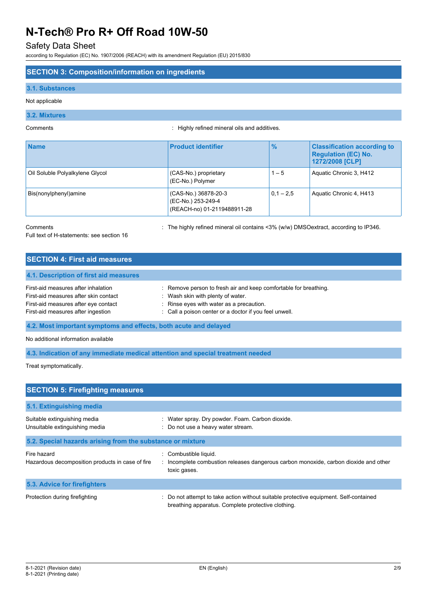### Safety Data Sheet

according to Regulation (EC) No. 1907/2006 (REACH) with its amendment Regulation (EU) 2015/830

### **SECTION 3: Composition/information on ingredients**

#### **3.1. Substances**

Not applicable

### **3.2. Mixtures**

Comments : Highly refined mineral oils and additives.

| <b>Name</b>                     | <b>Product identifier</b>                                                 | $\frac{9}{6}$ | <b>Classification according to</b><br><b>Requiation (EC) No.</b><br>1272/2008 [CLP] |
|---------------------------------|---------------------------------------------------------------------------|---------------|-------------------------------------------------------------------------------------|
| Oil Soluble Polyalkylene Glycol | (CAS-No.) proprietary<br>(EC-No.) Polymer                                 | $1 - 5$       | Aquatic Chronic 3, H412                                                             |
| Bis(nonylphenyl)amine           | (CAS-No.) 36878-20-3<br>(EC-No.) 253-249-4<br>(REACH-no) 01-2119488911-28 | $0.1 - 2.5$   | Aquatic Chronic 4, H413                                                             |

Comments **Source 20 Comments** : The highly refined mineral oil contains <3% (w/w) DMSOextract, according to IP346.

Full text of H-statements: see section 16

| <b>SECTION 4: First aid measures</b>   |                                                                  |
|----------------------------------------|------------------------------------------------------------------|
| 4.1. Description of first aid measures |                                                                  |
| First-aid measures after inhalation    | : Remove person to fresh air and keep comfortable for breathing. |
| First-aid measures after skin contact  | Wash skin with plenty of water.                                  |
| First-aid measures after eye contact   | : Rinse eyes with water as a precaution.                         |
| First-aid measures after ingestion     | : Call a poison center or a doctor if you feel unwell.           |

**4.2. Most important symptoms and effects, both acute and delayed**

No additional information available

**4.3. Indication of any immediate medical attention and special treatment needed**

Treat symptomatically.

| <b>SECTION 5: Firefighting measures</b>                         |                                                                                                                                           |  |  |  |
|-----------------------------------------------------------------|-------------------------------------------------------------------------------------------------------------------------------------------|--|--|--|
| 5.1. Extinguishing media                                        |                                                                                                                                           |  |  |  |
| Suitable extinguishing media<br>Unsuitable extinguishing media  | : Water spray. Dry powder. Foam. Carbon dioxide.<br>: Do not use a heavy water stream.                                                    |  |  |  |
| 5.2. Special hazards arising from the substance or mixture      |                                                                                                                                           |  |  |  |
| Fire hazard<br>Hazardous decomposition products in case of fire | : Combustible liquid.<br>: Incomplete combustion releases dangerous carbon monoxide, carbon dioxide and other<br>toxic gases.             |  |  |  |
| 5.3. Advice for firefighters                                    |                                                                                                                                           |  |  |  |
| Protection during firefighting                                  | Do not attempt to take action without suitable protective equipment. Self-contained<br>breathing apparatus. Complete protective clothing. |  |  |  |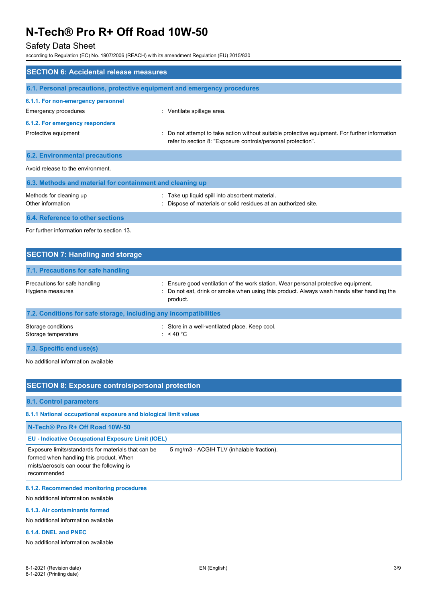# Safety Data Sheet

according to Regulation (EC) No. 1907/2006 (REACH) with its amendment Regulation (EU) 2015/830

| <b>SECTION 6: Accidental release measures</b>                            |                                                                                                                                                                    |  |
|--------------------------------------------------------------------------|--------------------------------------------------------------------------------------------------------------------------------------------------------------------|--|
| 6.1. Personal precautions, protective equipment and emergency procedures |                                                                                                                                                                    |  |
| 6.1.1. For non-emergency personnel<br>Emergency procedures               | : Ventilate spillage area.                                                                                                                                         |  |
| 6.1.2. For emergency responders                                          |                                                                                                                                                                    |  |
| Protective equipment                                                     | Do not attempt to take action without suitable protective equipment. For further information<br>÷.<br>refer to section 8: "Exposure controls/personal protection". |  |
| <b>6.2. Environmental precautions</b>                                    |                                                                                                                                                                    |  |
| Avoid release to the environment.                                        |                                                                                                                                                                    |  |
| 6.3. Methods and material for containment and cleaning up                |                                                                                                                                                                    |  |
| Methods for cleaning up<br>Other information                             | : Take up liquid spill into absorbent material.<br>Dispose of materials or solid residues at an authorized site.                                                   |  |
| 6.4. Reference to other sections                                         |                                                                                                                                                                    |  |
| For further information refer to section 13.                             |                                                                                                                                                                    |  |

| <b>SECTION 7: Handling and storage</b>                            |                                                                                                                                                                                              |
|-------------------------------------------------------------------|----------------------------------------------------------------------------------------------------------------------------------------------------------------------------------------------|
| 7.1. Precautions for safe handling                                |                                                                                                                                                                                              |
| Precautions for safe handling<br>Hygiene measures                 | : Ensure good ventilation of the work station. Wear personal protective equipment.<br>: Do not eat, drink or smoke when using this product. Always wash hands after handling the<br>product. |
| 7.2. Conditions for safe storage, including any incompatibilities |                                                                                                                                                                                              |
| Storage conditions<br>Storage temperature                         | : Store in a well-ventilated place. Keep cool.<br>: $<$ 40 °C                                                                                                                                |
| 7.3. Specific end use(s)                                          |                                                                                                                                                                                              |

No additional information available

# **SECTION 8: Exposure controls/personal protection**

**8.1. Control parameters**

### **8.1.1 National occupational exposure and biological limit values**

| N-Tech® Pro R+ Off Road 10W-50                                                                                                                             |                                           |  |
|------------------------------------------------------------------------------------------------------------------------------------------------------------|-------------------------------------------|--|
| <b>EU - Indicative Occupational Exposure Limit (IOEL)</b>                                                                                                  |                                           |  |
| Exposure limits/standards for materials that can be<br>formed when handling this product. When<br>mists/aerosols can occur the following is<br>recommended | 5 mg/m3 - ACGIH TLV (inhalable fraction). |  |

#### **8.1.2. Recommended monitoring procedures**

No additional information available

#### **8.1.3. Air contaminants formed**

No additional information available

#### **8.1.4. DNEL and PNEC**

No additional information available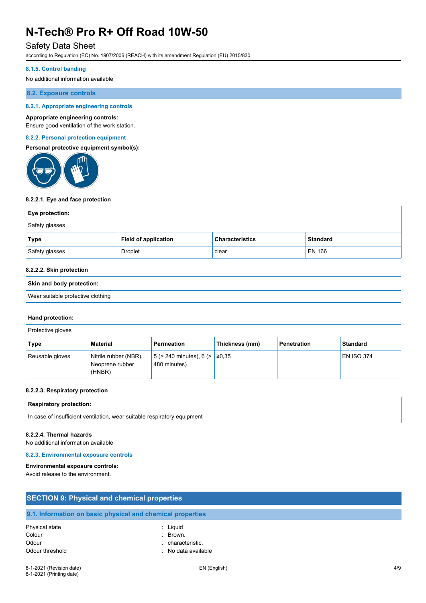## Safety Data Sheet

according to Regulation (EC) No. 1907/2006 (REACH) with its amendment Regulation (EU) 2015/830

#### **8.1.5. Control banding**

No additional information available

#### **8.2. Exposure controls**

#### **8.2.1. Appropriate engineering controls**

#### **Appropriate engineering controls:**

Ensure good ventilation of the work station.

#### **8.2.2. Personal protection equipment**

#### **Personal protective equipment symbol(s):**



#### **8.2.2.1. Eye and face protection**

| Eye protection: |                             |                        |                 |
|-----------------|-----------------------------|------------------------|-----------------|
| Safety glasses  |                             |                        |                 |
| Type            | <b>Field of application</b> | <b>Characteristics</b> | <b>Standard</b> |
| Safety glasses  | Droplet                     | clear                  | <b>EN 166</b>   |

#### **8.2.2.2. Skin protection**

# **Skin and body protection:** Wear suitable protective clothing

| Hand protection:  |                                                    |                                                     |                |                    |                   |
|-------------------|----------------------------------------------------|-----------------------------------------------------|----------------|--------------------|-------------------|
| Protective gloves |                                                    |                                                     |                |                    |                   |
| Type              | <b>Material</b>                                    | Permeation                                          | Thickness (mm) | <b>Penetration</b> | <b>Standard</b>   |
| Reusable gloves   | Nitrile rubber (NBR),<br>Neoprene rubber<br>(HNBR) | $ 5$ (> 240 minutes), 6 (> $ ≥0,35$<br>480 minutes) |                |                    | <b>EN ISO 374</b> |

#### **8.2.2.3. Respiratory protection**

| Res<br><b>otection:</b><br>niratorv<br>nr.<br>$  -$<br>$ -$ |  |
|-------------------------------------------------------------|--|
|                                                             |  |

#### In case of insufficient ventilation, wear suitable respiratory equipment

#### **8.2.2.4. Thermal hazards**

No additional information available

#### **8.2.3. Environmental exposure controls**

#### **Environmental exposure controls:**

Avoid release to the environment.

| <b>SECTION 9: Physical and chemical properties</b> |                                                            |  |
|----------------------------------------------------|------------------------------------------------------------|--|
|                                                    | 9.1. Information on basic physical and chemical properties |  |
| Physical state                                     | : Liguid                                                   |  |
| Colour                                             | $\therefore$ Brown.                                        |  |
| Odour                                              | : characteristic.                                          |  |
| Odour threshold                                    | No data available                                          |  |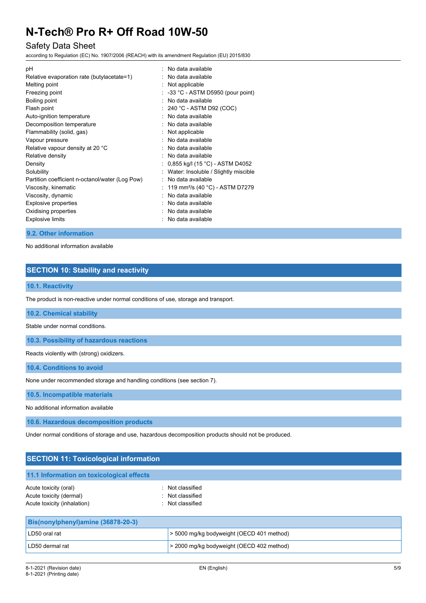# Safety Data Sheet

according to Regulation (EC) No. 1907/2006 (REACH) with its amendment Regulation (EU) 2015/830

| рH                                              | No data available                             |
|-------------------------------------------------|-----------------------------------------------|
| Relative evaporation rate (butylacetate=1)      | No data available                             |
| Melting point                                   | : Not applicable                              |
| Freezing point                                  | $\therefore$ -33 °C - ASTM D5950 (pour point) |
| Boiling point                                   | No data available                             |
| Flash point                                     | $: 240 °C$ - ASTM D92 (COC)                   |
| Auto-ignition temperature                       | : No data available                           |
| Decomposition temperature                       | No data available                             |
| Flammability (solid, gas)                       | Not applicable                                |
| Vapour pressure                                 | : No data available                           |
| Relative vapour density at 20 °C                | No data available                             |
| Relative density                                | No data available                             |
| Density                                         | 0,855 kg/l (15 °C) - ASTM D4052               |
| Solubility                                      | Water: Insoluble / Slightly miscible          |
| Partition coefficient n-octanol/water (Log Pow) | No data available                             |
| Viscosity, kinematic                            | 119 mm <sup>2</sup> /s (40 °C) - ASTM D7279   |
| Viscosity, dynamic                              | No data available                             |
| <b>Explosive properties</b>                     | No data available                             |
| Oxidising properties                            | No data available                             |
| <b>Explosive limits</b>                         | No data available                             |
|                                                 |                                               |

#### **9.2. Other information**

No additional information available

### **SECTION 10: Stability and reactivity**

#### **10.1. Reactivity**

The product is non-reactive under normal conditions of use, storage and transport.

**10.2. Chemical stability**

Stable under normal conditions.

**10.3. Possibility of hazardous reactions**

Reacts violently with (strong) oxidizers.

**10.4. Conditions to avoid**

None under recommended storage and handling conditions (see section 7).

**10.5. Incompatible materials**

No additional information available

**10.6. Hazardous decomposition products**

Under normal conditions of storage and use, hazardous decomposition products should not be produced.

LD50 dermal rat **business and all contract to the 2000 mg/kg bodyweight (OECD 402 method)** 

| <b>SECTION 11: Toxicological information</b>                                    |                                                          |  |
|---------------------------------------------------------------------------------|----------------------------------------------------------|--|
| 11.1 Information on toxicological effects                                       |                                                          |  |
| Acute toxicity (oral)<br>Acute toxicity (dermal)<br>Acute toxicity (inhalation) | : Not classified<br>: Not classified<br>: Not classified |  |
| Bis(nonylphenyl)amine (36878-20-3)                                              |                                                          |  |
| LD50 oral rat                                                                   | > 5000 mg/kg bodyweight (OECD 401 method)                |  |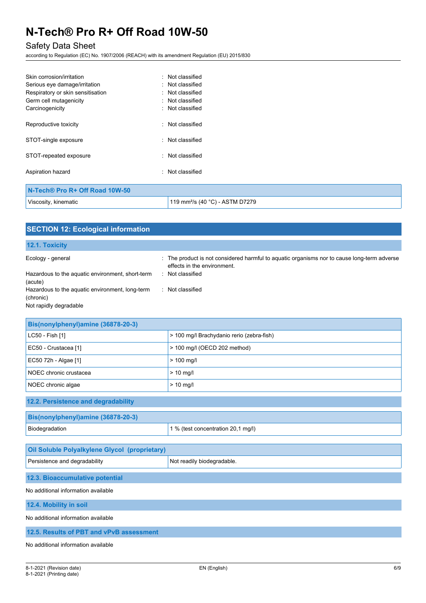# Safety Data Sheet

according to Regulation (EC) No. 1907/2006 (REACH) with its amendment Regulation (EU) 2015/830

| Skin corrosion/irritation         | Not classified   |  |
|-----------------------------------|------------------|--|
| Serious eye damage/irritation     | : Not classified |  |
| Respiratory or skin sensitisation | Not classified   |  |
| Germ cell mutagenicity            | : Not classified |  |
| Carcinogenicity                   | : Not classified |  |
| Reproductive toxicity             | : Not classified |  |
| STOT-single exposure              | Not classified   |  |
| STOT-repeated exposure            | : Not classified |  |
| Aspiration hazard                 | Not classified   |  |
| N-Tech® Pro R+ Off Road 10W-50    |                  |  |
|                                   |                  |  |

| Viscosity,<br>kinematic | ፡ (40 °C) - ASTM D7279 |
|-------------------------|------------------------|

| <b>SECTION 12: Ecological information</b>                                                                                                                                  |                                                                                                                                                                    |
|----------------------------------------------------------------------------------------------------------------------------------------------------------------------------|--------------------------------------------------------------------------------------------------------------------------------------------------------------------|
| 12.1. Toxicity                                                                                                                                                             |                                                                                                                                                                    |
| Ecology - general<br>Hazardous to the aquatic environment, short-term<br>(acute)<br>Hazardous to the aquatic environment, long-term<br>(chronic)<br>Not rapidly degradable | : The product is not considered harmful to aquatic organisms nor to cause long-term adverse<br>effects in the environment.<br>: Not classified<br>: Not classified |
| Bis(nonylphenyl)amine (36878-20-3)                                                                                                                                         |                                                                                                                                                                    |
| LC50 - Fish [1]                                                                                                                                                            | > 100 mg/l Brachydanio rerio (zebra-fish)                                                                                                                          |
| EC50 - Crustacea [1]                                                                                                                                                       | > 100 mg/l (OECD 202 method)                                                                                                                                       |
| EC50 72h - Algae [1]                                                                                                                                                       | $> 100$ mg/l                                                                                                                                                       |
| NOEC chronic crustacea                                                                                                                                                     | $> 10$ mg/l                                                                                                                                                        |
| NOEC chronic algae                                                                                                                                                         | $> 10$ mg/l                                                                                                                                                        |
| 12.2. Persistence and degradability                                                                                                                                        |                                                                                                                                                                    |
| Bis(nonylphenyl)amine (36878-20-3)                                                                                                                                         |                                                                                                                                                                    |
| Biodegradation                                                                                                                                                             | 1 % (test concentration 20,1 mg/l)                                                                                                                                 |
| Oil Soluble Polyalkylene Glycol (proprietary)                                                                                                                              |                                                                                                                                                                    |
| Persistence and degradability                                                                                                                                              | Not readily biodegradable.                                                                                                                                         |
| 12.3. Bioaccumulative potential                                                                                                                                            |                                                                                                                                                                    |
| No additional information available                                                                                                                                        |                                                                                                                                                                    |
| 12.4. Mobility in soil                                                                                                                                                     |                                                                                                                                                                    |
| No additional information available                                                                                                                                        |                                                                                                                                                                    |
| 12.5. Results of PBT and vPvB assessment                                                                                                                                   |                                                                                                                                                                    |
| No additional information available                                                                                                                                        |                                                                                                                                                                    |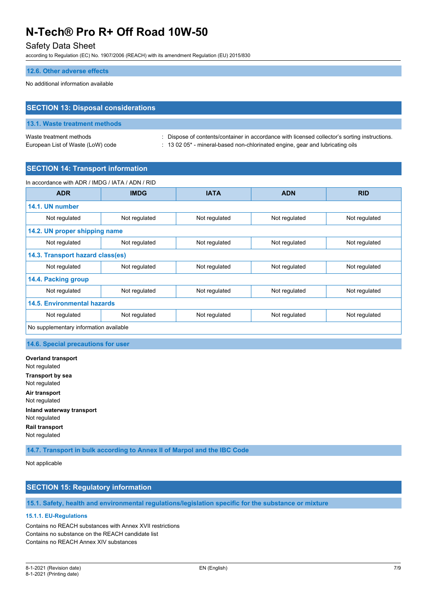### Safety Data Sheet

according to Regulation (EC) No. 1907/2006 (REACH) with its amendment Regulation (EU) 2015/830

#### **12.6. Other adverse effects**

No additional information available

# **SECTION 13: Disposal considerations**

# **13.1. Waste treatment methods**

Waste treatment methods : Dispose of contents/container in accordance with licensed collector's sorting instructions. European List of Waste (LoW) code : 13 02 05<sup>\*</sup> - mineral-based non-chlorinated engine, gear and lubricating oils

#### **SECTION 14: Transport information**

| In accordance with ADR / IMDG / IATA / ADN / RID |               |               |               |               |
|--------------------------------------------------|---------------|---------------|---------------|---------------|
| <b>ADR</b>                                       | <b>IMDG</b>   | <b>IATA</b>   | <b>ADN</b>    | <b>RID</b>    |
| 14.1. UN number                                  |               |               |               |               |
| Not regulated                                    | Not regulated | Not regulated | Not regulated | Not regulated |
| 14.2. UN proper shipping name                    |               |               |               |               |
| Not regulated                                    | Not regulated | Not regulated | Not regulated | Not regulated |
| 14.3. Transport hazard class(es)                 |               |               |               |               |
| Not regulated                                    | Not regulated | Not regulated | Not regulated | Not regulated |
| 14.4. Packing group                              |               |               |               |               |
| Not regulated                                    | Not regulated | Not regulated | Not regulated | Not regulated |
| <b>14.5. Environmental hazards</b>               |               |               |               |               |
| Not regulated                                    | Not regulated | Not regulated | Not regulated | Not regulated |
| No supplementary information available           |               |               |               |               |

#### **14.6. Special precautions for user**

**Overland transport** Not regulated **Transport by sea** Not regulated **Air transport** Not regulated **Inland waterway transport** Not regulated **Rail transport** Not regulated

**14.7. Transport in bulk according to Annex II of Marpol and the IBC Code**

Not applicable

### **SECTION 15: Regulatory information**

### **15.1. Safety, health and environmental regulations/legislation specific for the substance or mixture**

#### **15.1.1. EU-Regulations**

Contains no REACH substances with Annex XVII restrictions Contains no substance on the REACH candidate list Contains no REACH Annex XIV substances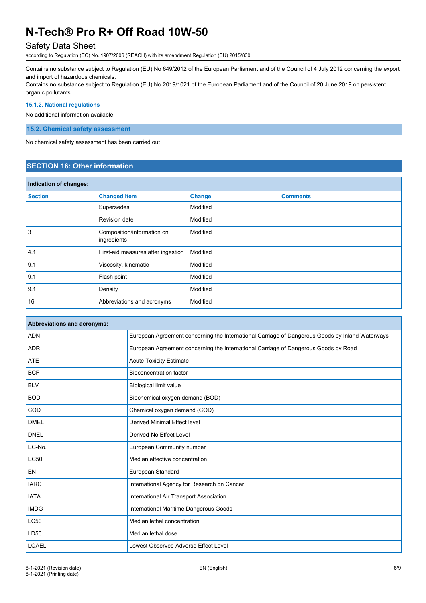# Safety Data Sheet

according to Regulation (EC) No. 1907/2006 (REACH) with its amendment Regulation (EU) 2015/830

Contains no substance subject to Regulation (EU) No 649/2012 of the European Parliament and of the Council of 4 July 2012 concerning the export and import of hazardous chemicals.

Contains no substance subject to Regulation (EU) No 2019/1021 of the European Parliament and of the Council of 20 June 2019 on persistent organic pollutants

#### **15.1.2. National regulations**

No additional information available

**15.2. Chemical safety assessment**

No chemical safety assessment has been carried out

### **SECTION 16: Other information**

| Indication of changes: |                                           |               |                 |
|------------------------|-------------------------------------------|---------------|-----------------|
| <b>Section</b>         | <b>Changed item</b>                       | <b>Change</b> | <b>Comments</b> |
|                        | Supersedes                                | Modified      |                 |
|                        | Revision date                             | Modified      |                 |
| 3                      | Composition/information on<br>ingredients | Modified      |                 |
| 4.1                    | First-aid measures after ingestion        | Modified      |                 |
| 9.1                    | Viscosity, kinematic                      | Modified      |                 |
| 9.1                    | Flash point                               | Modified      |                 |
| 9.1                    | Density                                   | Modified      |                 |
| 16                     | Abbreviations and acronyms                | Modified      |                 |

| Abbreviations and acronyms: |                                                                                                 |
|-----------------------------|-------------------------------------------------------------------------------------------------|
| <b>ADN</b>                  | European Agreement concerning the International Carriage of Dangerous Goods by Inland Waterways |
| <b>ADR</b>                  | European Agreement concerning the International Carriage of Dangerous Goods by Road             |
| <b>ATE</b>                  | <b>Acute Toxicity Estimate</b>                                                                  |
| <b>BCF</b>                  | <b>Bioconcentration factor</b>                                                                  |
| <b>BLV</b>                  | <b>Biological limit value</b>                                                                   |
| <b>BOD</b>                  | Biochemical oxygen demand (BOD)                                                                 |
| COD                         | Chemical oxygen demand (COD)                                                                    |
| <b>DMEL</b>                 | Derived Minimal Effect level                                                                    |
| <b>DNEL</b>                 | Derived-No Effect Level                                                                         |
| EC-No.                      | European Community number                                                                       |
| <b>EC50</b>                 | Median effective concentration                                                                  |
| EN                          | European Standard                                                                               |
| <b>IARC</b>                 | International Agency for Research on Cancer                                                     |
| <b>IATA</b>                 | International Air Transport Association                                                         |
| <b>IMDG</b>                 | International Maritime Dangerous Goods                                                          |
| <b>LC50</b>                 | Median lethal concentration                                                                     |
| LD50                        | Median lethal dose                                                                              |
| <b>LOAEL</b>                | Lowest Observed Adverse Effect Level                                                            |